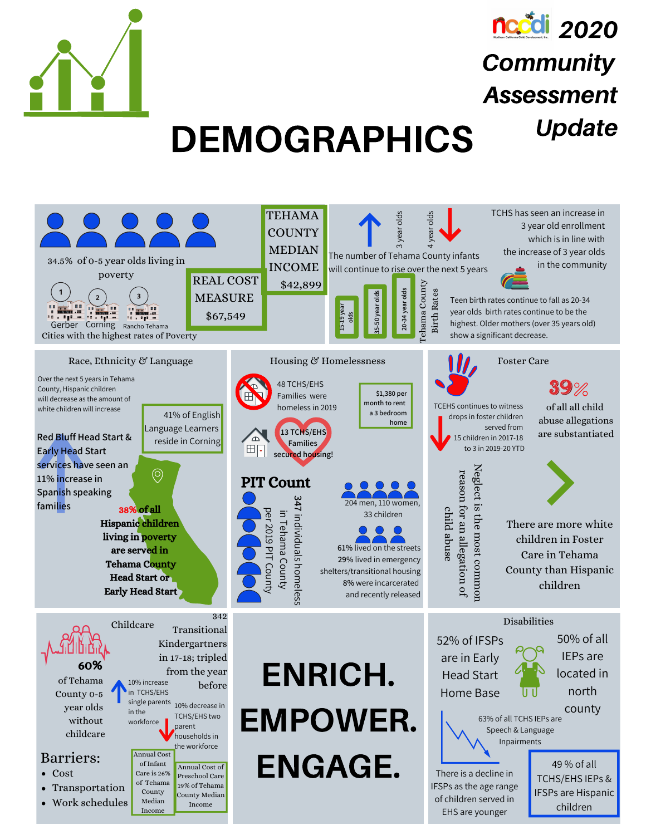



**Community** 

Assessment

# DEMOGRAPHICS Update

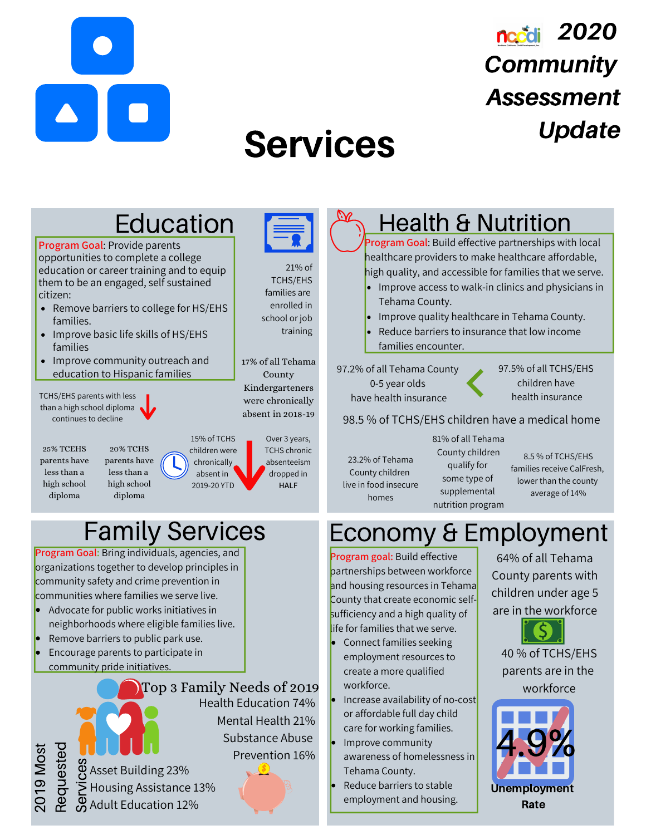

## nccdi 2020 **Community** Assessment Update

# Services



Tehama County.

Reduce barriers to stable employment and housing.

Unemployment **Rate** 

Asset Building 23% e  $\overline{\triangleright}$  Housing Assistance 13% Adult Education 12% ၯ ervic<br>Prizi  $\bm{\omega}$ 

 $\sim$  $\circ$ 

<u>ာ</u> ⋝

Req